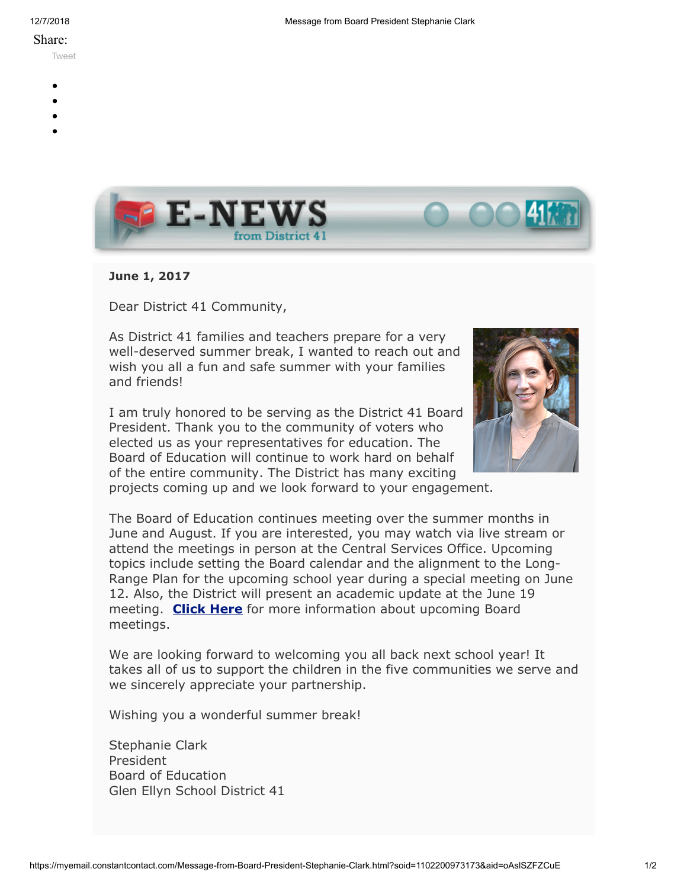## Share:

[Tweet](https://twitter.com/intent/tweet?original_referer=https%3A%2F%2Fmyemail.constantcontact.com%2FMessage-from-Board-President-Stephanie-Clark.html%3Fsoid%3D1102200973173%26aid%3DoAslSZFZCuE&ref_src=twsrc%5Etfw&text=Message%20from%20Board%20President%20Stephanie%20Clark&tw_p=tweetbutton&url=https%3A%2F%2Fmyemail.constantcontact.com%2FMessage-from-Board-President-Stephanie-Clark.html%3Fsoid%3D1102200973173%26aid%3DoAslSZFZCuE)

- 
- 
- 
- 
- 



**June 1, 2017**

Dear District 41 Community,

As District 41 families and teachers prepare for a very well-deserved summer break, I wanted to reach out and wish you all a fun and safe summer with your families and friends!

I am truly honored to be serving as the District 41 Board President. Thank you to the community of voters who elected us as your representatives for education. The Board of Education will continue to work hard on behalf of the entire community. The District has many exciting projects coming up and we look forward to your engagement.



The Board of Education continues meeting over the summer months in June and August. If you are interested, you may watch via live stream or attend the meetings in person at the Central Services Office. Upcoming topics include setting the Board calendar and the alignment to the Long-Range Plan for the upcoming school year during a special meeting on June 12. Also, the District will present an academic update at the June 19 meeting. **[Click Here](http://www.d41.org/domain/36)** for more information about upcoming Board meetings.

We are looking forward to welcoming you all back next school year! It takes all of us to support the children in the five communities we serve and we sincerely appreciate your partnership.

Wishing you a wonderful summer break!

Stephanie Clark President Board of Education Glen Ellyn School District 41